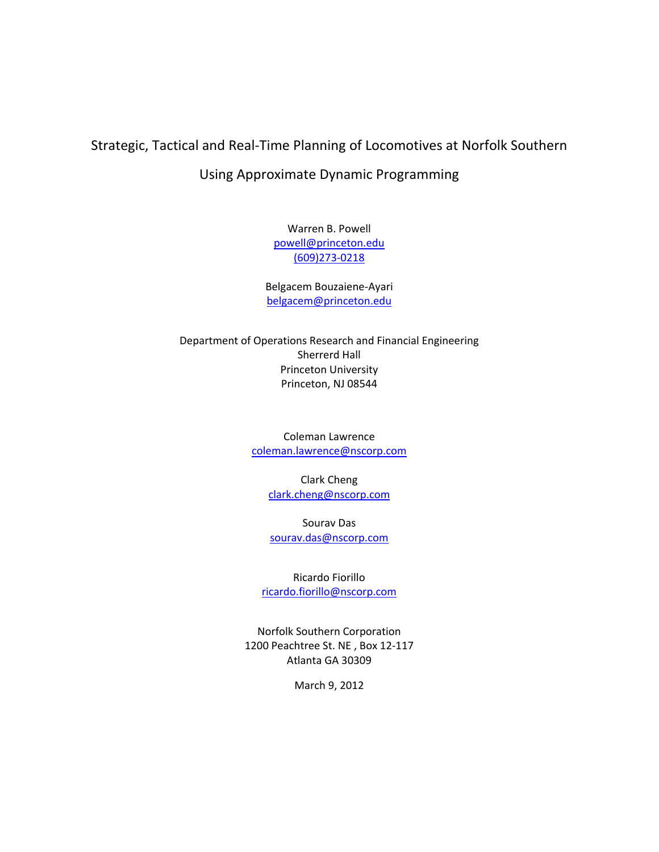# Strategic, Tactical and Real‐Time Planning of Locomotives at Norfolk Southern

Using Approximate Dynamic Programming

Warren B. Powell powell@princeton.edu (609)273‐0218

Belgacem Bouzaiene‐Ayari belgacem@princeton.edu

Department of Operations Research and Financial Engineering Sherrerd Hall Princeton University Princeton, NJ 08544

> Coleman Lawrence coleman.lawrence@nscorp.com

> > Clark Cheng clark.cheng@nscorp.com

> > Sourav Das sourav.das@nscorp.com

Ricardo Fiorillo ricardo.fiorillo@nscorp.com

Norfolk Southern Corporation 1200 Peachtree St. NE , Box 12‐117 Atlanta GA 30309

March 9, 2012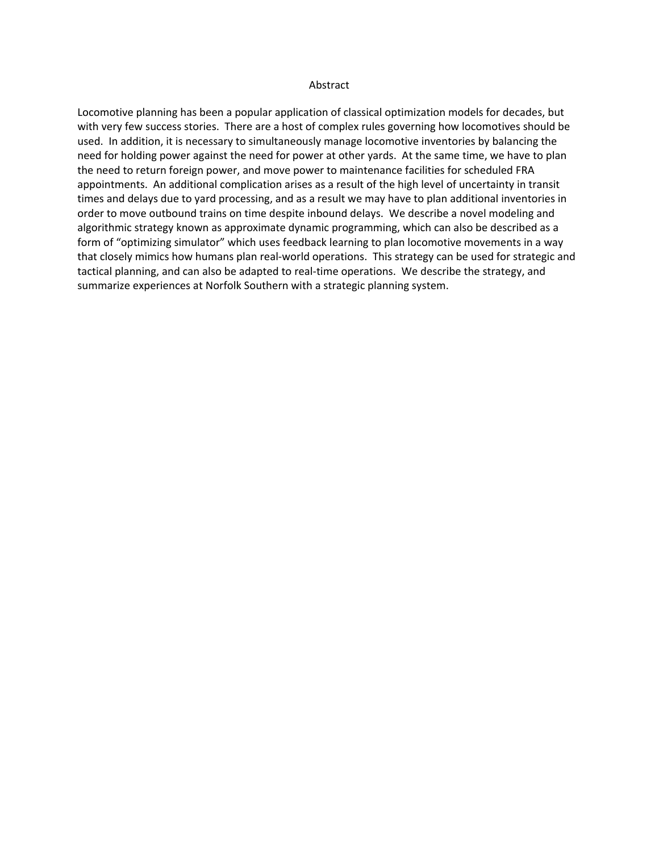#### Abstract

Locomotive planning has been a popular application of classical optimization models for decades, but with very few success stories. There are a host of complex rules governing how locomotives should be used. In addition, it is necessary to simultaneously manage locomotive inventories by balancing the need for holding power against the need for power at other yards. At the same time, we have to plan the need to return foreign power, and move power to maintenance facilities for scheduled FRA appointments. An additional complication arises as a result of the high level of uncertainty in transit times and delays due to yard processing, and as a result we may have to plan additional inventories in order to move outbound trains on time despite inbound delays. We describe a novel modeling and algorithmic strategy known as approximate dynamic programming, which can also be described as a form of "optimizing simulator" which uses feedback learning to plan locomotive movements in a way that closely mimics how humans plan real‐world operations. This strategy can be used for strategic and tactical planning, and can also be adapted to real-time operations. We describe the strategy, and summarize experiences at Norfolk Southern with a strategic planning system.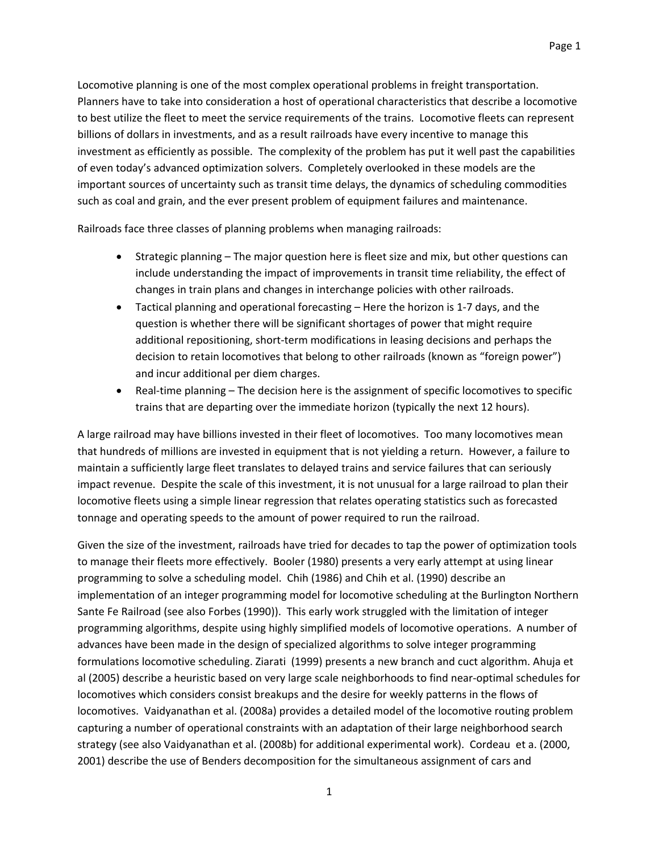Locomotive planning is one of the most complex operational problems in freight transportation. Planners have to take into consideration a host of operational characteristics that describe a locomotive to best utilize the fleet to meet the service requirements of the trains. Locomotive fleets can represent billions of dollars in investments, and as a result railroads have every incentive to manage this investment as efficiently as possible. The complexity of the problem has put it well past the capabilities of even today's advanced optimization solvers. Completely overlooked in these models are the important sources of uncertainty such as transit time delays, the dynamics of scheduling commodities such as coal and grain, and the ever present problem of equipment failures and maintenance.

Railroads face three classes of planning problems when managing railroads:

- Strategic planning The major question here is fleet size and mix, but other questions can include understanding the impact of improvements in transit time reliability, the effect of changes in train plans and changes in interchange policies with other railroads.
- Tactical planning and operational forecasting Here the horizon is 1‐7 days, and the question is whether there will be significant shortages of power that might require additional repositioning, short‐term modifications in leasing decisions and perhaps the decision to retain locomotives that belong to other railroads (known as "foreign power") and incur additional per diem charges.
- Real-time planning The decision here is the assignment of specific locomotives to specific trains that are departing over the immediate horizon (typically the next 12 hours).

A large railroad may have billions invested in their fleet of locomotives. Too many locomotives mean that hundreds of millions are invested in equipment that is not yielding a return. However, a failure to maintain a sufficiently large fleet translates to delayed trains and service failures that can seriously impact revenue. Despite the scale of this investment, it is not unusual for a large railroad to plan their locomotive fleets using a simple linear regression that relates operating statistics such as forecasted tonnage and operating speeds to the amount of power required to run the railroad.

Given the size of the investment, railroads have tried for decades to tap the power of optimization tools to manage their fleets more effectively. Booler (1980) presents a very early attempt at using linear programming to solve a scheduling model. Chih (1986) and Chih et al. (1990) describe an implementation of an integer programming model for locomotive scheduling at the Burlington Northern Sante Fe Railroad (see also Forbes (1990)). This early work struggled with the limitation of integer programming algorithms, despite using highly simplified models of locomotive operations. A number of advances have been made in the design of specialized algorithms to solve integer programming formulations locomotive scheduling. Ziarati (1999) presents a new branch and cuct algorithm. Ahuja et al (2005) describe a heuristic based on very large scale neighborhoods to find near‐optimal schedules for locomotives which considers consist breakups and the desire for weekly patterns in the flows of locomotives. Vaidyanathan et al. (2008a) provides a detailed model of the locomotive routing problem capturing a number of operational constraints with an adaptation of their large neighborhood search strategy (see also Vaidyanathan et al. (2008b) for additional experimental work). Cordeau et a. (2000, 2001) describe the use of Benders decomposition for the simultaneous assignment of cars and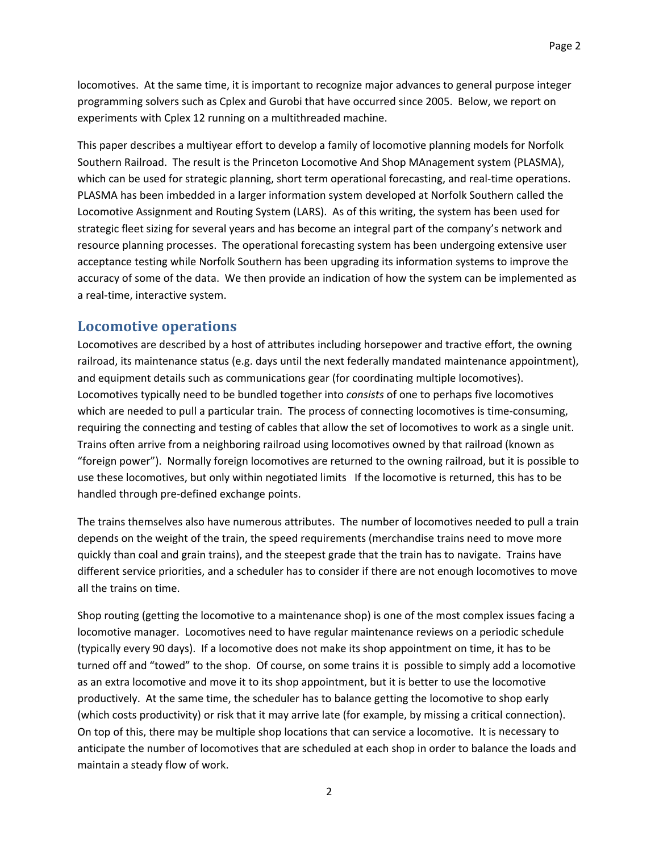locomotives. At the same time, it is important to recognize major advances to general purpose integer programming solvers such as Cplex and Gurobi that have occurred since 2005. Below, we report on experiments with Cplex 12 running on a multithreaded machine.

This paper describes a multiyear effort to develop a family of locomotive planning models for Norfolk Southern Railroad. The result is the Princeton Locomotive And Shop MAnagement system (PLASMA), which can be used for strategic planning, short term operational forecasting, and real-time operations. PLASMA has been imbedded in a larger information system developed at Norfolk Southern called the Locomotive Assignment and Routing System (LARS). As of this writing, the system has been used for strategic fleet sizing for several years and has become an integral part of the company's network and resource planning processes. The operational forecasting system has been undergoing extensive user acceptance testing while Norfolk Southern has been upgrading its information systems to improve the accuracy of some of the data. We then provide an indication of how the system can be implemented as a real‐time, interactive system.

### **Locomotive operations**

Locomotives are described by a host of attributes including horsepower and tractive effort, the owning railroad, its maintenance status (e.g. days until the next federally mandated maintenance appointment), and equipment details such as communications gear (for coordinating multiple locomotives). Locomotives typically need to be bundled together into *consists* of one to perhaps five locomotives which are needed to pull a particular train. The process of connecting locomotives is time-consuming, requiring the connecting and testing of cables that allow the set of locomotives to work as a single unit. Trains often arrive from a neighboring railroad using locomotives owned by that railroad (known as "foreign power"). Normally foreign locomotives are returned to the owning railroad, but it is possible to use these locomotives, but only within negotiated limits If the locomotive is returned, this has to be handled through pre‐defined exchange points.

The trains themselves also have numerous attributes. The number of locomotives needed to pull a train depends on the weight of the train, the speed requirements (merchandise trains need to move more quickly than coal and grain trains), and the steepest grade that the train has to navigate. Trains have different service priorities, and a scheduler has to consider if there are not enough locomotives to move all the trains on time.

Shop routing (getting the locomotive to a maintenance shop) is one of the most complex issues facing a locomotive manager. Locomotives need to have regular maintenance reviews on a periodic schedule (typically every 90 days). If a locomotive does not make its shop appointment on time, it has to be turned off and "towed" to the shop. Of course, on some trains it is possible to simply add a locomotive as an extra locomotive and move it to its shop appointment, but it is better to use the locomotive productively. At the same time, the scheduler has to balance getting the locomotive to shop early (which costs productivity) or risk that it may arrive late (for example, by missing a critical connection). On top of this, there may be multiple shop locations that can service a locomotive. It is necessary to anticipate the number of locomotives that are scheduled at each shop in order to balance the loads and maintain a steady flow of work.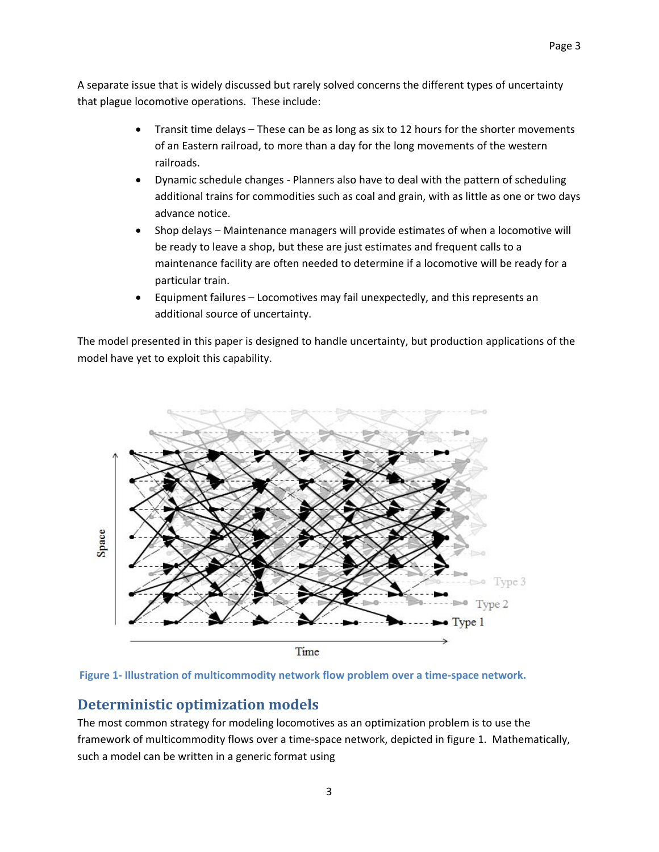A separate issue that is widely discussed but rarely solved concerns the different types of uncertainty that plague locomotive operations. These include:

- Transit time delays These can be as long as six to 12 hours for the shorter movements of an Eastern railroad, to more than a day for the long movements of the western railroads.
- Dynamic schedule changes ‐ Planners also have to deal with the pattern of scheduling additional trains for commodities such as coal and grain, with as little as one or two days advance notice.
- Shop delays Maintenance managers will provide estimates of when a locomotive will be ready to leave a shop, but these are just estimates and frequent calls to a maintenance facility are often needed to determine if a locomotive will be ready for a particular train.
- Equipment failures Locomotives may fail unexpectedly, and this represents an additional source of uncertainty.

The model presented in this paper is designed to handle uncertainty, but production applications of the model have yet to exploit this capability.





# **Deterministic optimization models**

The most common strategy for modeling locomotives as an optimization problem is to use the framework of multicommodity flows over a time‐space network, depicted in figure 1. Mathematically, such a model can be written in a generic format using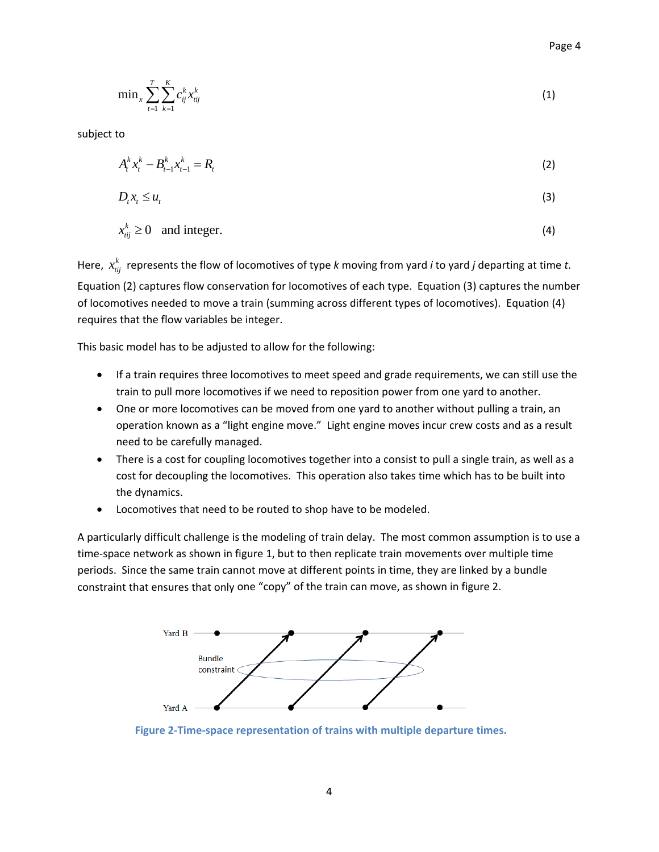Page 4

$$
\min_{x} \sum_{t=1}^{T} \sum_{k=1}^{K} c_{ij}^{k} x_{tij}^{k}
$$
 (1)

subject to

$$
A_t^k x_t^k - B_{t-1}^k x_{t-1}^k = R_t
$$
 (2)

$$
D_t x_t \le u_t \tag{3}
$$

$$
x_{ij}^k \ge 0 \quad \text{and integer.} \tag{4}
$$

Here, *<sup>k</sup> tij x* represents the flow of locomotives of type *k* moving from yard *i* to yard *j* departing at time *t*. Equation (2) captures flow conservation for locomotives of each type. Equation (3) captures the number of locomotives needed to move a train (summing across different types of locomotives). Equation (4) requires that the flow variables be integer.

This basic model has to be adjusted to allow for the following:

- If a train requires three locomotives to meet speed and grade requirements, we can still use the train to pull more locomotives if we need to reposition power from one yard to another.
- One or more locomotives can be moved from one yard to another without pulling a train, an operation known as a "light engine move." Light engine moves incur crew costs and as a result need to be carefully managed.
- There is a cost for coupling locomotives together into a consist to pull a single train, as well as a cost for decoupling the locomotives. This operation also takes time which has to be built into the dynamics.
- Locomotives that need to be routed to shop have to be modeled.

A particularly difficult challenge is the modeling of train delay. The most common assumption is to use a time-space network as shown in figure 1, but to then replicate train movements over multiple time periods. Since the same train cannot move at different points in time, they are linked by a bundle constraint that ensures that only one "copy" of the train can move, as shown in figure 2.



**Figure 2‐Time‐space representation of trains with multiple departure times.**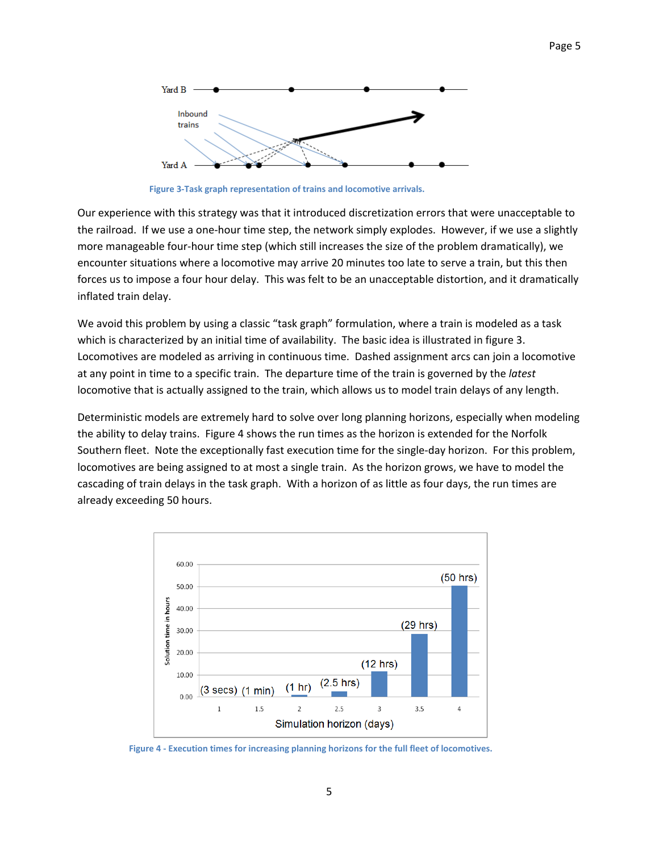

**Figure 3‐Task graph representation of trains and locomotive arrivals.**

Our experience with this strategy was that it introduced discretization errors that were unacceptable to the railroad. If we use a one-hour time step, the network simply explodes. However, if we use a slightly more manageable four-hour time step (which still increases the size of the problem dramatically), we encounter situations where a locomotive may arrive 20 minutes too late to serve a train, but this then forces us to impose a four hour delay. This was felt to be an unacceptable distortion, and it dramatically inflated train delay.

We avoid this problem by using a classic "task graph" formulation, where a train is modeled as a task which is characterized by an initial time of availability. The basic idea is illustrated in figure 3. Locomotives are modeled as arriving in continuous time. Dashed assignment arcs can join a locomotive at any point in time to a specific train. The departure time of the train is governed by the *latest* locomotive that is actually assigned to the train, which allows us to model train delays of any length.

Deterministic models are extremely hard to solve over long planning horizons, especially when modeling the ability to delay trains. Figure 4 shows the run times as the horizon is extended for the Norfolk Southern fleet. Note the exceptionally fast execution time for the single-day horizon. For this problem, locomotives are being assigned to at most a single train. As the horizon grows, we have to model the cascading of train delays in the task graph. With a horizon of as little as four days, the run times are already exceeding 50 hours.



**Figure 4 ‐ Execution times for increasing planning horizons for the full fleet of locomotives.**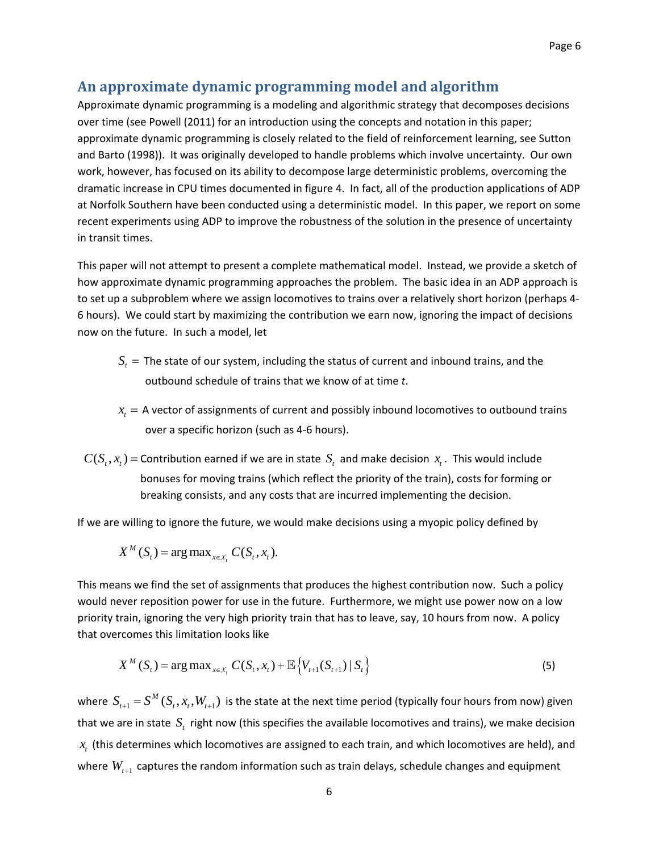#### **An approximate dynamic programming model and algorithm**

Approximate dynamic programming is a modeling and algorithmic strategy that decomposes decisions over time (see Powell (2011) for an introduction using the concepts and notation in this paper; approximate dynamic programming is closely related to the field of reinforcement learning, see Sutton and Barto (1998)). It was originally developed to handle problems which involve uncertainty. Our own work, however, has focused on its ability to decompose large deterministic problems, overcoming the dramatic increase in CPU times documented in figure 4. In fact, all of the production applications of ADP at Norfolk Southern have been conducted using a deterministic model. In this paper, we report on some recent experiments using ADP to improve the robustness of the solution in the presence of uncertainty in transit times.

This paper will not attempt to present a complete mathematical model. Instead, we provide a sketch of how approximate dynamic programming approaches the problem. The basic idea in an ADP approach is to set up a subproblem where we assign locomotives to trains over a relatively short horizon (perhaps 4‐ 6 hours). We could start by maximizing the contribution we earn now, ignoring the impact of decisions now on the future. In such a model, let

- $S<sub>t</sub>$  = The state of our system, including the status of current and inbound trains, and the outbound schedule of trains that we know of at time *t*.
- $x<sub>i</sub>$  = A vector of assignments of current and possibly inbound locomotives to outbound trains over a specific horizon (such as 4‐6 hours).
- $C(S_t, x_t)$  = Contribution earned if we are in state  $S_t$  and make decision  $x_t$ . This would include bonuses for moving trains (which reflect the priority of the train), costs for forming or breaking consists, and any costs that are incurred implementing the decision.

If we are willing to ignore the future, we would make decisions using a myopic policy defined by

$$
X^M(S_t) = \arg \max_{x \in X_t} C(S_t, x_t).
$$

This means we find the set of assignments that produces the highest contribution now. Such a policy would never reposition power for use in the future. Furthermore, we might use power now on a low priority train, ignoring the very high priority train that has to leave, say, 10 hours from now. A policy that overcomes this limitation looks like

$$
X^{M}(S_{t}) = \arg \max_{x \in X_{t}} C(S_{t}, x_{t}) + \mathbb{E}\left\{V_{t+1}(S_{t+1}) \mid S_{t}\right\}
$$
\n(5)

where  $S_{t+1} = S^M(S_t, x_t, W_{t+1})$  is the state at the next time period (typically four hours from now) given that we are in state S, right now (this specifies the available locomotives and trains), we make decision  $x<sub>t</sub>$  (this determines which locomotives are assigned to each train, and which locomotives are held), and where  $W_{t+1}$  captures the random information such as train delays, schedule changes and equipment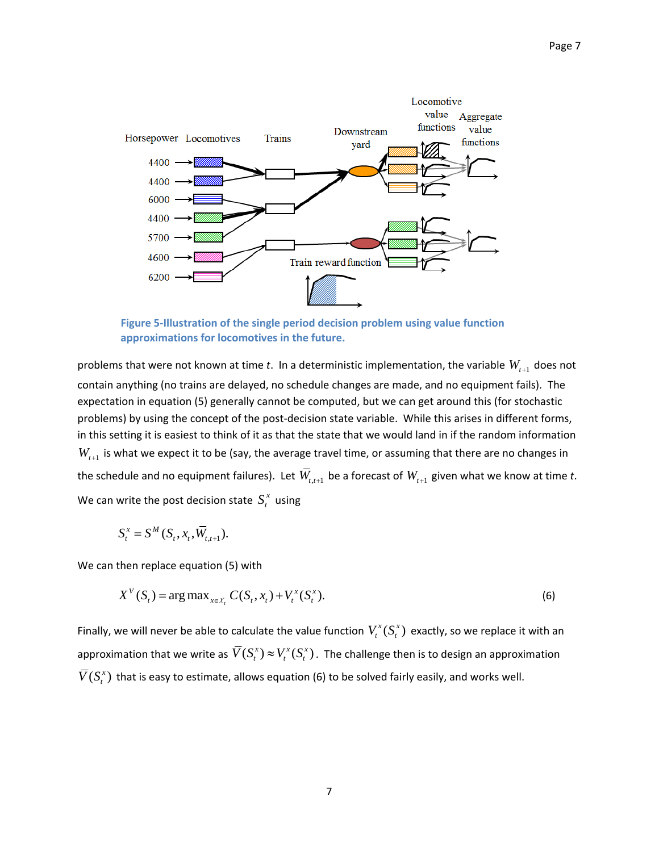

**Figure 5‐Illustration of the single period decision problem using value function approximations for locomotives in the future.**

problems that were not known at time  $t$ . In a deterministic implementation, the variable  $W_{t+1}$  does not contain anything (no trains are delayed, no schedule changes are made, and no equipment fails). The expectation in equation (5) generally cannot be computed, but we can get around this (for stochastic problems) by using the concept of the post-decision state variable. While this arises in different forms, in this setting it is easiest to think of it as that the state that we would land in if the random information  $W_{t+1}$  is what we expect it to be (say, the average travel time, or assuming that there are no changes in the schedule and no equipment failures). Let  $\bar{W}_{t,t+1}$  be a forecast of  $W_{t+1}$  given what we know at time t. We can write the post decision state  $S_t^x$  using

$$
S_t^x = S^M(S_t, x_t, \overline{W}_{t,t+1}).
$$

We can then replace equation (5) with

$$
X^{V}(S_{t}) = \arg \max_{x \in X_{t}} C(S_{t}, x_{t}) + V_{t}^{x}(S_{t}^{x}).
$$
\n(6)

Finally, we will never be able to calculate the value function  $V_t^x(S_t^x)$  exactly, so we replace it with an approximation that we write as  $\overline{V}(S_i^x) \approx V_i^x(S_i^x)$ . The challenge then is to design an approximation  $\overline{V}(S_t^x)$  that is easy to estimate, allows equation (6) to be solved fairly easily, and works well.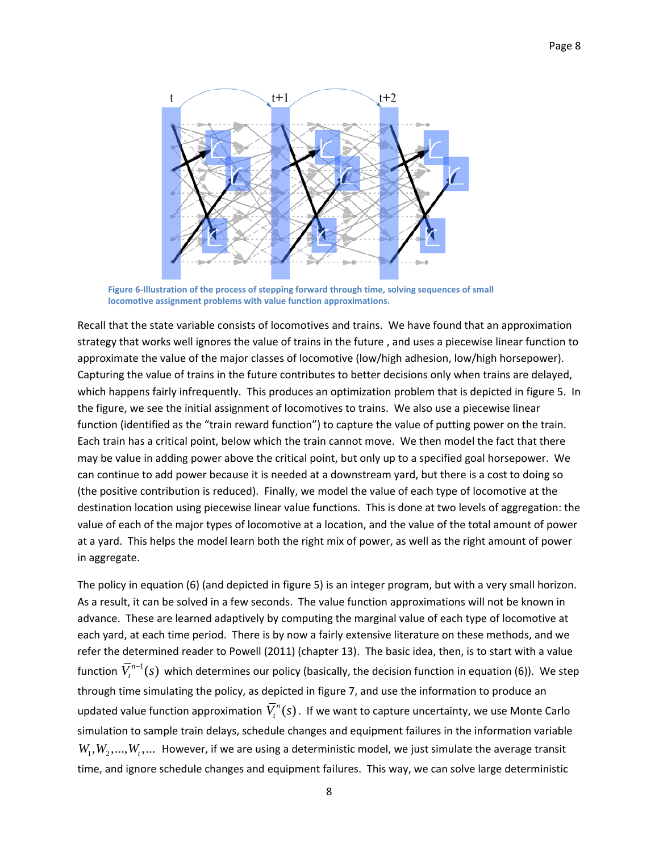

**Figure 6‐Illustration of the process of stepping forward through time, solving sequences of small locomotive assignment problems with value function approximations.**

Recall that the state variable consists of locomotives and trains. We have found that an approximation strategy that works well ignores the value of trains in the future , and uses a piecewise linear function to approximate the value of the major classes of locomotive (low/high adhesion, low/high horsepower). Capturing the value of trains in the future contributes to better decisions only when trains are delayed, which happens fairly infrequently. This produces an optimization problem that is depicted in figure 5. In the figure, we see the initial assignment of locomotives to trains. We also use a piecewise linear function (identified as the "train reward function") to capture the value of putting power on the train. Each train has a critical point, below which the train cannot move. We then model the fact that there may be value in adding power above the critical point, but only up to a specified goal horsepower. We can continue to add power because it is needed at a downstream yard, but there is a cost to doing so (the positive contribution is reduced). Finally, we model the value of each type of locomotive at the destination location using piecewise linear value functions. This is done at two levels of aggregation: the value of each of the major types of locomotive at a location, and the value of the total amount of power at a yard. This helps the model learn both the right mix of power, as well as the right amount of power in aggregate.

The policy in equation (6) (and depicted in figure 5) is an integer program, but with a very small horizon. As a result, it can be solved in a few seconds. The value function approximations will not be known in advance. These are learned adaptively by computing the marginal value of each type of locomotive at each yard, at each time period. There is by now a fairly extensive literature on these methods, and we refer the determined reader to Powell (2011) (chapter 13). The basic idea, then, is to start with a value function  $\bar V_t^{n-1}(s)$  which determines our policy (basically, the decision function in equation (6)). We step through time simulating the policy, as depicted in figure 7, and use the information to produce an updated value function approximation  $\overline{V}_t^n(s)$ . If we want to capture uncertainty, we use Monte Carlo simulation to sample train delays, schedule changes and equipment failures in the information variable  $W_1, W_2, ..., W_t, ...$  However, if we are using a deterministic model, we just simulate the average transit time, and ignore schedule changes and equipment failures. This way, we can solve large deterministic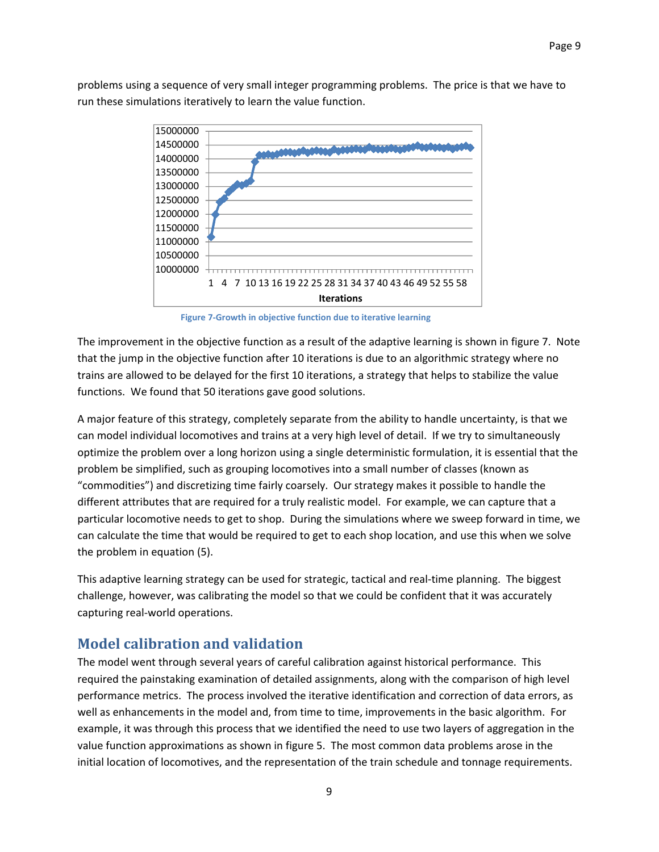problems using a sequence of very small integer programming problems. The price is that we have to run these simulations iteratively to learn the value function.



**Figure 7‐Growth in objective function due to iterative learning**

The improvement in the objective function as a result of the adaptive learning is shown in figure 7. Note that the jump in the objective function after 10 iterations is due to an algorithmic strategy where no trains are allowed to be delayed for the first 10 iterations, a strategy that helps to stabilize the value functions. We found that 50 iterations gave good solutions.

A major feature of this strategy, completely separate from the ability to handle uncertainty, is that we can model individual locomotives and trains at a very high level of detail. If we try to simultaneously optimize the problem over a long horizon using a single deterministic formulation, it is essential that the problem be simplified, such as grouping locomotives into a small number of classes (known as "commodities") and discretizing time fairly coarsely. Our strategy makes it possible to handle the different attributes that are required for a truly realistic model. For example, we can capture that a particular locomotive needs to get to shop. During the simulations where we sweep forward in time, we can calculate the time that would be required to get to each shop location, and use this when we solve the problem in equation (5).

This adaptive learning strategy can be used for strategic, tactical and real‐time planning. The biggest challenge, however, was calibrating the model so that we could be confident that it was accurately capturing real‐world operations.

# **Model calibration and validation**

The model went through several years of careful calibration against historical performance. This required the painstaking examination of detailed assignments, along with the comparison of high level performance metrics. The process involved the iterative identification and correction of data errors, as well as enhancements in the model and, from time to time, improvements in the basic algorithm. For example, it was through this process that we identified the need to use two layers of aggregation in the value function approximations as shown in figure 5. The most common data problems arose in the initial location of locomotives, and the representation of the train schedule and tonnage requirements.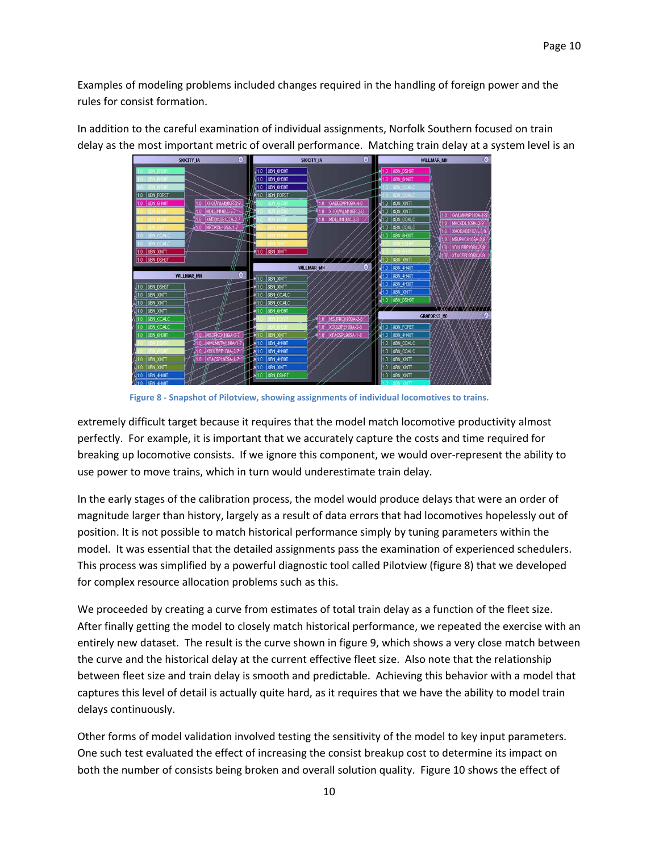Examples of modeling problems included changes required in the handling of foreign power and the rules for consist formation.

In addition to the careful examination of individual assignments, Norfolk Southern focused on train delay as the most important metric of overall performance. Matching train delay at a system level is an



**Figure 8 ‐ Snapshot of Pilotview, showing assignments of individual locomotives to trains.**

extremely difficult target because it requires that the model match locomotive productivity almost perfectly. For example, it is important that we accurately capture the costs and time required for breaking up locomotive consists. If we ignore this component, we would over‐represent the ability to use power to move trains, which in turn would underestimate train delay.

In the early stages of the calibration process, the model would produce delays that were an order of magnitude larger than history, largely as a result of data errors that had locomotives hopelessly out of position. It is not possible to match historical performance simply by tuning parameters within the model. It was essential that the detailed assignments pass the examination of experienced schedulers. This process was simplified by a powerful diagnostic tool called Pilotview (figure 8) that we developed for complex resource allocation problems such as this.

We proceeded by creating a curve from estimates of total train delay as a function of the fleet size. After finally getting the model to closely match historical performance, we repeated the exercise with an entirely new dataset. The result is the curve shown in figure 9, which shows a very close match between the curve and the historical delay at the current effective fleet size. Also note that the relationship between fleet size and train delay is smooth and predictable. Achieving this behavior with a model that captures this level of detail is actually quite hard, as it requires that we have the ability to model train delays continuously.

Other forms of model validation involved testing the sensitivity of the model to key input parameters. One such test evaluated the effect of increasing the consist breakup cost to determine its impact on both the number of consists being broken and overall solution quality. Figure 10 shows the effect of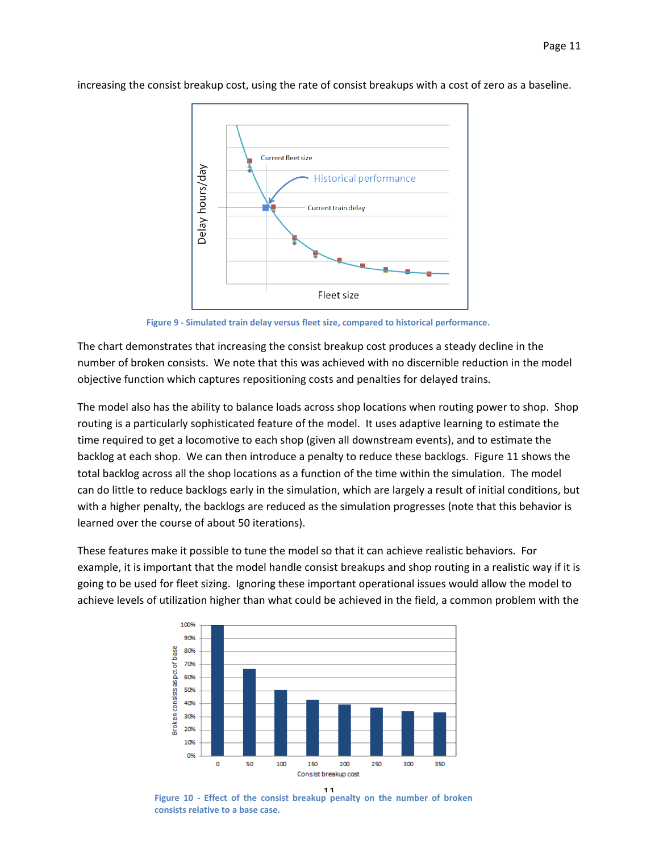

increasing the consist breakup cost, using the rate of consist breakups with a cost of zero as a baseline.

**Figure 9 ‐ Simulated train delay versus fleet size, compared to historical performance.**

The chart demonstrates that increasing the consist breakup cost produces a steady decline in the number of broken consists. We note that this was achieved with no discernible reduction in the model objective function which captures repositioning costs and penalties for delayed trains.

The model also has the ability to balance loads across shop locations when routing power to shop. Shop routing is a particularly sophisticated feature of the model. It uses adaptive learning to estimate the time required to get a locomotive to each shop (given all downstream events), and to estimate the backlog at each shop. We can then introduce a penalty to reduce these backlogs. Figure 11 shows the total backlog across all the shop locations as a function of the time within the simulation. The model can do little to reduce backlogs early in the simulation, which are largely a result of initial conditions, but with a higher penalty, the backlogs are reduced as the simulation progresses (note that this behavior is learned over the course of about 50 iterations).

These features make it possible to tune the model so that it can achieve realistic behaviors. For example, it is important that the model handle consist breakups and shop routing in a realistic way if it is going to be used for fleet sizing. Ignoring these important operational issues would allow the model to achieve levels of utilization higher than what could be achieved in the field, a common problem with the



11 **Figure 10 ‐ Effect of the consist breakup penalty on the number of broken consists relative to a base case.**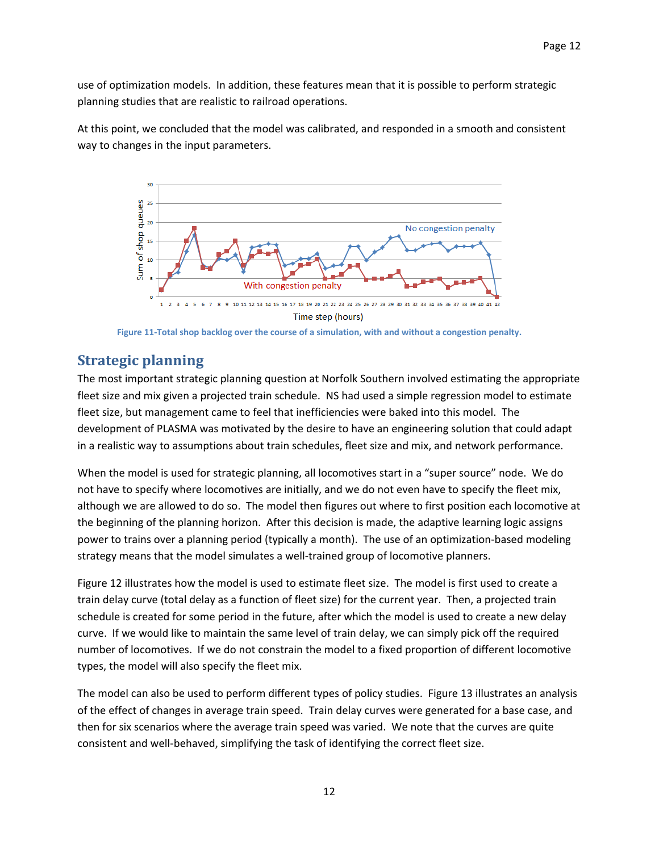use of optimization models. In addition, these features mean that it is possible to perform strategic planning studies that are realistic to railroad operations.

At this point, we concluded that the model was calibrated, and responded in a smooth and consistent way to changes in the input parameters.



Figure 11-Total shop backlog over the course of a simulation, with and without a congestion penalty.

#### **Strategic planning**

The most important strategic planning question at Norfolk Southern involved estimating the appropriate fleet size and mix given a projected train schedule. NS had used a simple regression model to estimate fleet size, but management came to feel that inefficiencies were baked into this model. The development of PLASMA was motivated by the desire to have an engineering solution that could adapt in a realistic way to assumptions about train schedules, fleet size and mix, and network performance.

When the model is used for strategic planning, all locomotives start in a "super source" node. We do not have to specify where locomotives are initially, and we do not even have to specify the fleet mix, although we are allowed to do so. The model then figures out where to first position each locomotive at the beginning of the planning horizon. After this decision is made, the adaptive learning logic assigns power to trains over a planning period (typically a month). The use of an optimization-based modeling strategy means that the model simulates a well‐trained group of locomotive planners.

Figure 12 illustrates how the model is used to estimate fleet size. The model is first used to create a train delay curve (total delay as a function of fleet size) for the current year. Then, a projected train schedule is created for some period in the future, after which the model is used to create a new delay curve. If we would like to maintain the same level of train delay, we can simply pick off the required number of locomotives. If we do not constrain the model to a fixed proportion of different locomotive types, the model will also specify the fleet mix.

The model can also be used to perform different types of policy studies. Figure 13 illustrates an analysis of the effect of changes in average train speed. Train delay curves were generated for a base case, and then for six scenarios where the average train speed was varied. We note that the curves are quite consistent and well‐behaved, simplifying the task of identifying the correct fleet size.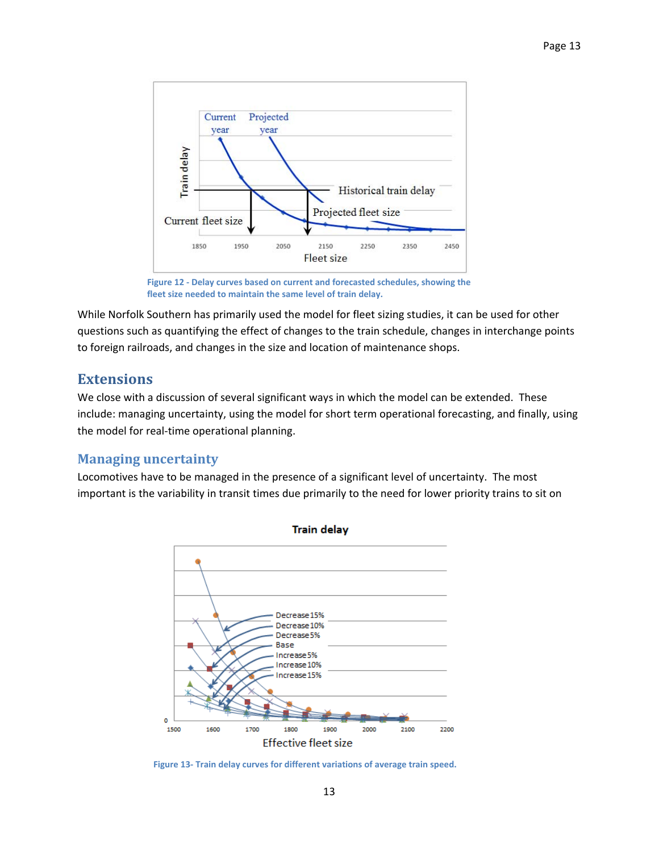

**Figure 12 ‐ Delay curves based on current and forecasted schedules, showing the fleet size needed to maintain the same level of train delay.**

While Norfolk Southern has primarily used the model for fleet sizing studies, it can be used for other questions such as quantifying the effect of changes to the train schedule, changes in interchange points to foreign railroads, and changes in the size and location of maintenance shops.

#### **Extensions**

We close with a discussion of several significant ways in which the model can be extended. These include: managing uncertainty, using the model for short term operational forecasting, and finally, using the model for real‐time operational planning.

#### **Managing uncertainty**

Locomotives have to be managed in the presence of a significant level of uncertainty. The most important is the variability in transit times due primarily to the need for lower priority trains to sit on





**Figure 13‐ Train delay curves for different variations of average train speed.**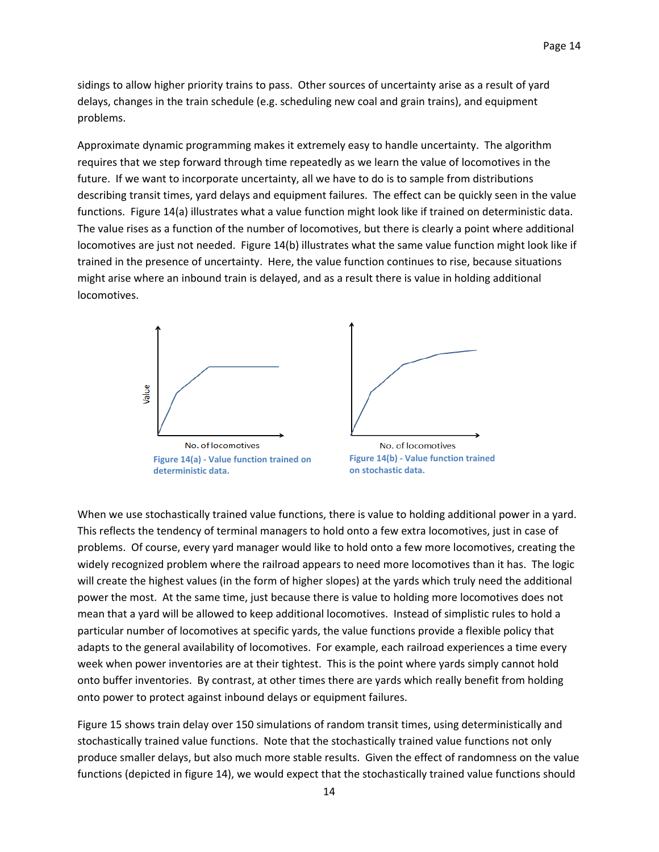sidings to allow higher priority trains to pass. Other sources of uncertainty arise as a result of yard delays, changes in the train schedule (e.g. scheduling new coal and grain trains), and equipment problems.

Approximate dynamic programming makes it extremely easy to handle uncertainty. The algorithm requires that we step forward through time repeatedly as we learn the value of locomotives in the future. If we want to incorporate uncertainty, all we have to do is to sample from distributions describing transit times, yard delays and equipment failures. The effect can be quickly seen in the value functions. Figure 14(a) illustrates what a value function might look like if trained on deterministic data. The value rises as a function of the number of locomotives, but there is clearly a point where additional locomotives are just not needed. Figure 14(b) illustrates what the same value function might look like if trained in the presence of uncertainty. Here, the value function continues to rise, because situations might arise where an inbound train is delayed, and as a result there is value in holding additional locomotives.



When we use stochastically trained value functions, there is value to holding additional power in a yard. This reflects the tendency of terminal managers to hold onto a few extra locomotives, just in case of problems. Of course, every yard manager would like to hold onto a few more locomotives, creating the widely recognized problem where the railroad appears to need more locomotives than it has. The logic will create the highest values (in the form of higher slopes) at the yards which truly need the additional power the most. At the same time, just because there is value to holding more locomotives does not mean that a yard will be allowed to keep additional locomotives. Instead of simplistic rules to hold a particular number of locomotives at specific yards, the value functions provide a flexible policy that adapts to the general availability of locomotives. For example, each railroad experiences a time every week when power inventories are at their tightest. This is the point where yards simply cannot hold onto buffer inventories. By contrast, at other times there are yards which really benefit from holding onto power to protect against inbound delays or equipment failures.

Figure 15 shows train delay over 150 simulations of random transit times, using deterministically and stochastically trained value functions. Note that the stochastically trained value functions not only produce smaller delays, but also much more stable results. Given the effect of randomness on the value functions (depicted in figure 14), we would expect that the stochastically trained value functions should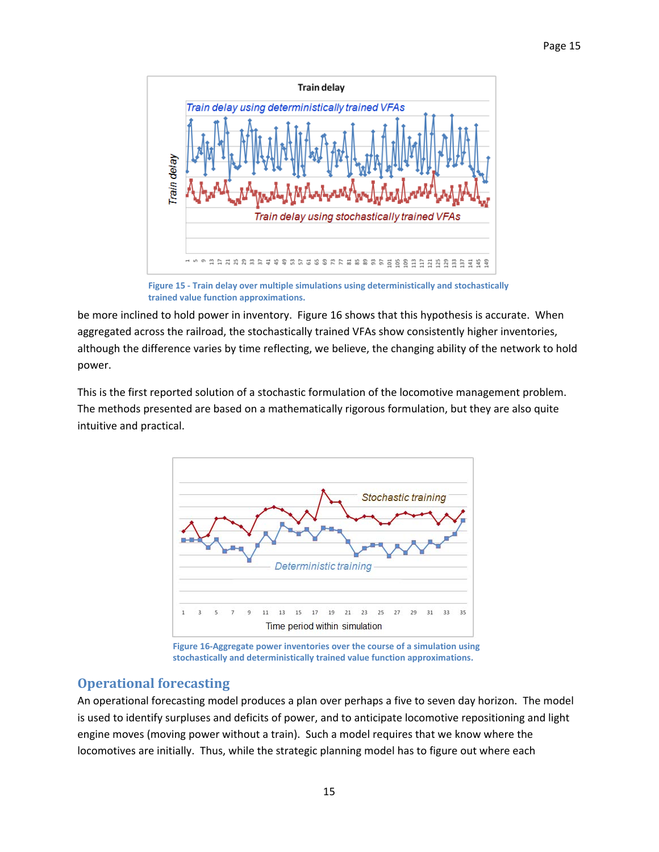

**Figure 15 ‐ Train delay over multiple simulations using deterministically and stochastically trained value function approximations.**

be more inclined to hold power in inventory. Figure 16 shows that this hypothesis is accurate. When aggregated across the railroad, the stochastically trained VFAs show consistently higher inventories, although the difference varies by time reflecting, we believe, the changing ability of the network to hold power.

This is the first reported solution of a stochastic formulation of the locomotive management problem. The methods presented are based on a mathematically rigorous formulation, but they are also quite intuitive and practical.



**Figure 16‐Aggregate power inventories over the course of a simulation using stochastically and deterministically trained value function approximations.**

#### **Operational forecasting**

An operational forecasting model produces a plan over perhaps a five to seven day horizon. The model is used to identify surpluses and deficits of power, and to anticipate locomotive repositioning and light engine moves (moving power without a train). Such a model requires that we know where the locomotives are initially. Thus, while the strategic planning model has to figure out where each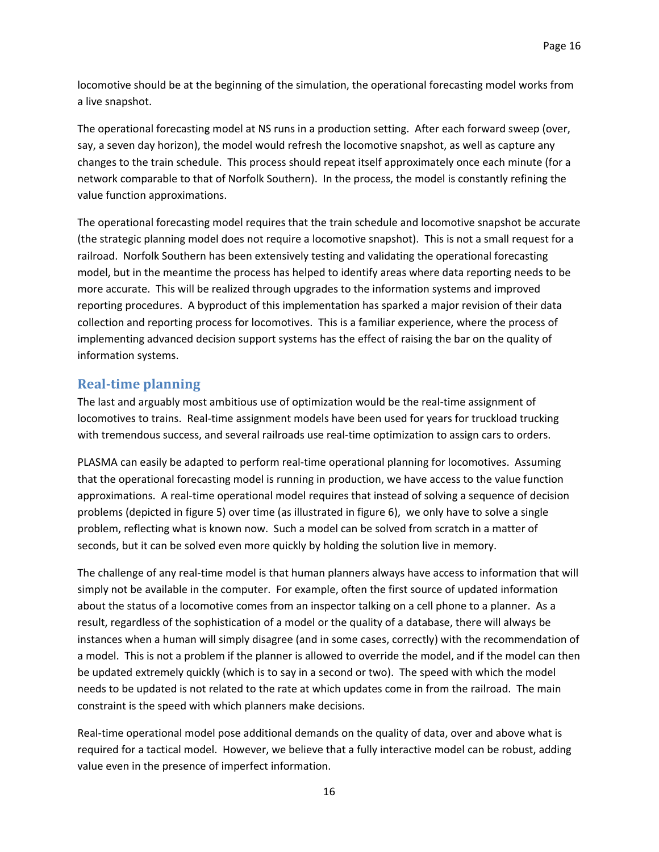locomotive should be at the beginning of the simulation, the operational forecasting model works from a live snapshot.

The operational forecasting model at NS runs in a production setting. After each forward sweep (over, say, a seven day horizon), the model would refresh the locomotive snapshot, as well as capture any changes to the train schedule. This process should repeat itself approximately once each minute (for a network comparable to that of Norfolk Southern). In the process, the model is constantly refining the value function approximations.

The operational forecasting model requires that the train schedule and locomotive snapshot be accurate (the strategic planning model does not require a locomotive snapshot). This is not a small request for a railroad. Norfolk Southern has been extensively testing and validating the operational forecasting model, but in the meantime the process has helped to identify areas where data reporting needs to be more accurate. This will be realized through upgrades to the information systems and improved reporting procedures. A byproduct of this implementation has sparked a major revision of their data collection and reporting process for locomotives. This is a familiar experience, where the process of implementing advanced decision support systems has the effect of raising the bar on the quality of information systems.

#### **Real‐time planning**

The last and arguably most ambitious use of optimization would be the real-time assignment of locomotives to trains. Real‐time assignment models have been used for years for truckload trucking with tremendous success, and several railroads use real-time optimization to assign cars to orders.

PLASMA can easily be adapted to perform real-time operational planning for locomotives. Assuming that the operational forecasting model is running in production, we have access to the value function approximations. A real-time operational model requires that instead of solving a sequence of decision problems (depicted in figure 5) over time (as illustrated in figure 6), we only have to solve a single problem, reflecting what is known now. Such a model can be solved from scratch in a matter of seconds, but it can be solved even more quickly by holding the solution live in memory.

The challenge of any real‐time model is that human planners always have access to information that will simply not be available in the computer. For example, often the first source of updated information about the status of a locomotive comes from an inspector talking on a cell phone to a planner. As a result, regardless of the sophistication of a model or the quality of a database, there will always be instances when a human will simply disagree (and in some cases, correctly) with the recommendation of a model. This is not a problem if the planner is allowed to override the model, and if the model can then be updated extremely quickly (which is to say in a second or two). The speed with which the model needs to be updated is not related to the rate at which updates come in from the railroad. The main constraint is the speed with which planners make decisions.

Real-time operational model pose additional demands on the quality of data, over and above what is required for a tactical model. However, we believe that a fully interactive model can be robust, adding value even in the presence of imperfect information.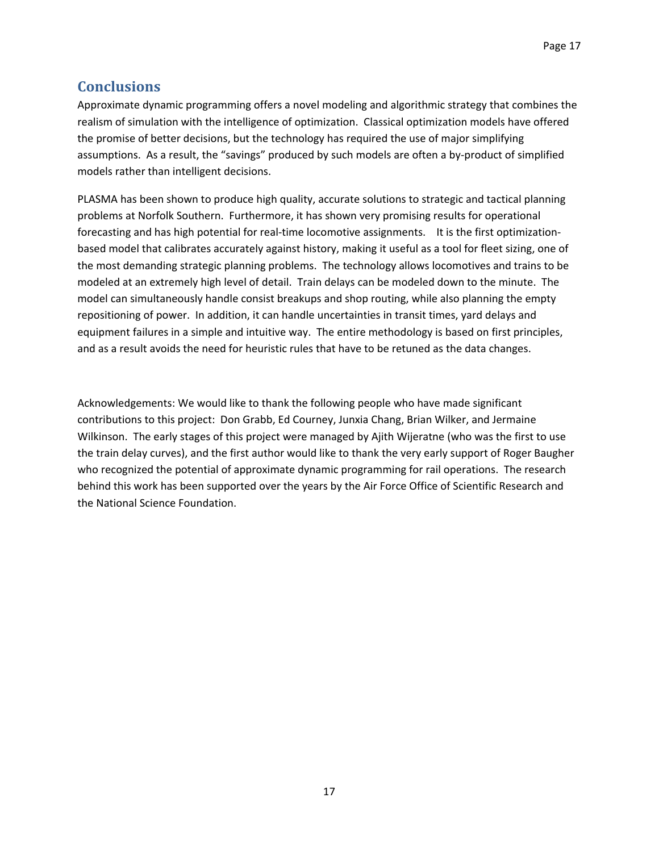# **Conclusions**

Approximate dynamic programming offers a novel modeling and algorithmic strategy that combines the realism of simulation with the intelligence of optimization. Classical optimization models have offered the promise of better decisions, but the technology has required the use of major simplifying assumptions. As a result, the "savings" produced by such models are often a by‐product of simplified models rather than intelligent decisions.

PLASMA has been shown to produce high quality, accurate solutions to strategic and tactical planning problems at Norfolk Southern. Furthermore, it has shown very promising results for operational forecasting and has high potential for real-time locomotive assignments. It is the first optimizationbased model that calibrates accurately against history, making it useful as a tool for fleet sizing, one of the most demanding strategic planning problems. The technology allows locomotives and trains to be modeled at an extremely high level of detail. Train delays can be modeled down to the minute. The model can simultaneously handle consist breakups and shop routing, while also planning the empty repositioning of power. In addition, it can handle uncertainties in transit times, yard delays and equipment failures in a simple and intuitive way. The entire methodology is based on first principles, and as a result avoids the need for heuristic rules that have to be retuned as the data changes.

Acknowledgements: We would like to thank the following people who have made significant contributions to this project: Don Grabb, Ed Courney, Junxia Chang, Brian Wilker, and Jermaine Wilkinson. The early stages of this project were managed by Ajith Wijeratne (who was the first to use the train delay curves), and the first author would like to thank the very early support of Roger Baugher who recognized the potential of approximate dynamic programming for rail operations. The research behind this work has been supported over the years by the Air Force Office of Scientific Research and the National Science Foundation.